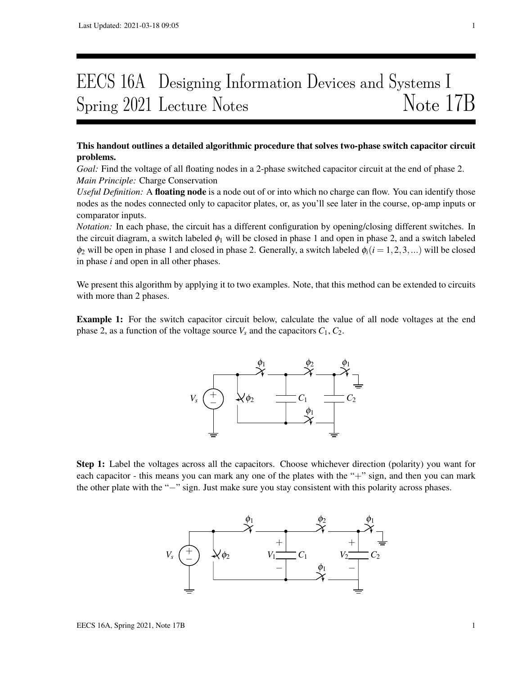# EECS 16A Designing Information Devices and Systems I Spring 2021 Lecture Notes Note 17B

## This handout outlines a detailed algorithmic procedure that solves two-phase switch capacitor circuit problems.

*Goal:* Find the voltage of all floating nodes in a 2-phase switched capacitor circuit at the end of phase 2. *Main Principle:* Charge Conservation

*Useful Definition:* A floating node is a node out of or into which no charge can flow. You can identify those nodes as the nodes connected only to capacitor plates, or, as you'll see later in the course, op-amp inputs or comparator inputs.

*Notation:* In each phase, the circuit has a different configuration by opening/closing different switches. In the circuit diagram, a switch labeled  $\phi_1$  will be closed in phase 1 and open in phase 2, and a switch labeled  $\phi_2$  will be open in phase 1 and closed in phase 2. Generally, a switch labeled  $\phi_i(i = 1, 2, 3, ...)$  will be closed in phase *i* and open in all other phases.

We present this algorithm by applying it to two examples. Note, that this method can be extended to circuits with more than 2 phases.

Example 1: For the switch capacitor circuit below, calculate the value of all node voltages at the end phase 2, as a function of the voltage source  $V_s$  and the capacitors  $C_1$ ,  $C_2$ .



Step 1: Label the voltages across all the capacitors. Choose whichever direction (polarity) you want for each capacitor - this means you can mark any one of the plates with the "+" sign, and then you can mark the other plate with the "−" sign. Just make sure you stay consistent with this polarity across phases.

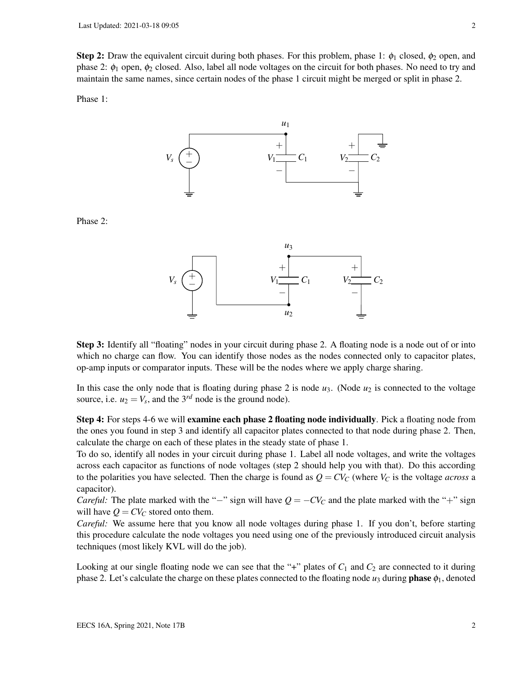**Step 2:** Draw the equivalent circuit during both phases. For this problem, phase 1:  $\phi_1$  closed,  $\phi_2$  open, and phase 2:  $\phi_1$  open,  $\phi_2$  closed. Also, label all node voltages on the circuit for both phases. No need to try and maintain the same names, since certain nodes of the phase 1 circuit might be merged or split in phase 2.

Phase 1:



Phase 2:



Step 3: Identify all "floating" nodes in your circuit during phase 2. A floating node is a node out of or into which no charge can flow. You can identify those nodes as the nodes connected only to capacitor plates, op-amp inputs or comparator inputs. These will be the nodes where we apply charge sharing.

In this case the only node that is floating during phase 2 is node  $u_3$ . (Node  $u_2$  is connected to the voltage source, i.e.  $u_2 = V_s$ , and the 3<sup>*rd*</sup> node is the ground node).

Step 4: For steps 4-6 we will examine each phase 2 floating node individually. Pick a floating node from the ones you found in step 3 and identify all capacitor plates connected to that node during phase 2. Then, calculate the charge on each of these plates in the steady state of phase 1.

To do so, identify all nodes in your circuit during phase 1. Label all node voltages, and write the voltages across each capacitor as functions of node voltages (step 2 should help you with that). Do this according to the polarities you have selected. Then the charge is found as  $Q = CV_C$  (where  $V_C$  is the voltage *across* a capacitor).

*Careful:* The plate marked with the "−" sign will have  $Q = -CV_C$  and the plate marked with the "+" sign will have  $Q = CV_C$  stored onto them.

*Careful:* We assume here that you know all node voltages during phase 1. If you don't, before starting this procedure calculate the node voltages you need using one of the previously introduced circuit analysis techniques (most likely KVL will do the job).

Looking at our single floating node we can see that the "+" plates of  $C_1$  and  $C_2$  are connected to it during phase 2. Let's calculate the charge on these plates connected to the floating node  $u_3$  during **phase**  $\phi_1$ , denoted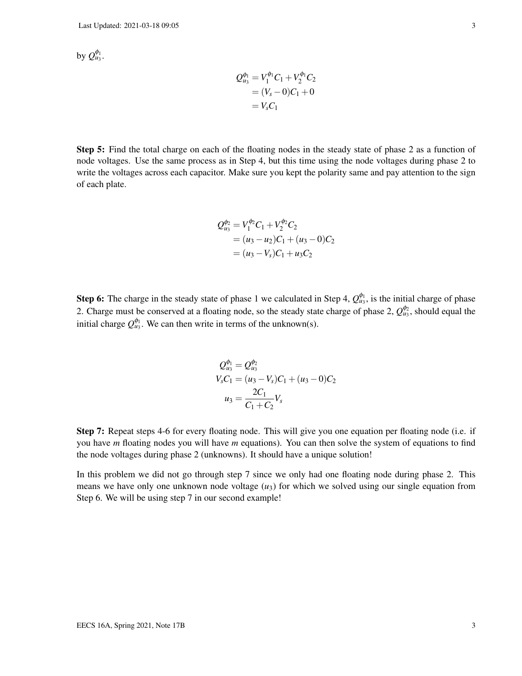by  $\mathcal{Q}^{\phi_1}_{u_3}.$ 

$$
Q_{u_3}^{\phi_1} = V_1^{\phi_1} C_1 + V_2^{\phi_1} C_2
$$
  
= (V<sub>s</sub> - 0)C<sub>1</sub> + 0  
= V<sub>s</sub>C<sub>1</sub>

Step 5: Find the total charge on each of the floating nodes in the steady state of phase 2 as a function of node voltages. Use the same process as in Step 4, but this time using the node voltages during phase 2 to write the voltages across each capacitor. Make sure you kept the polarity same and pay attention to the sign of each plate.

$$
Q_{u_3}^{\phi_2} = V_1^{\phi_2} C_1 + V_2^{\phi_2} C_2
$$
  
=  $(u_3 - u_2)C_1 + (u_3 - 0)C_2$   
=  $(u_3 - V_s)C_1 + u_3C_2$ 

**Step 6:** The charge in the steady state of phase 1 we calculated in Step 4,  $Q_{u_3}^{\phi_1}$ , is the initial charge of phase 2. Charge must be conserved at a floating node, so the steady state charge of phase 2,  $Q_{u_3}^{\phi_2}$ , should equal the initial charge  $Q_{u_3}^{\phi_1}$ . We can then write in terms of the unknown(s).

$$
Q_{u_3}^{\phi_1} = Q_{u_3}^{\phi_2}
$$
  
\n
$$
V_s C_1 = (u_3 - V_s)C_1 + (u_3 - 0)C_2
$$
  
\n
$$
u_3 = \frac{2C_1}{C_1 + C_2}V_s
$$

Step 7: Repeat steps 4-6 for every floating node. This will give you one equation per floating node (i.e. if you have *m* floating nodes you will have *m* equations). You can then solve the system of equations to find the node voltages during phase 2 (unknowns). It should have a unique solution!

In this problem we did not go through step 7 since we only had one floating node during phase 2. This means we have only one unknown node voltage  $(u_3)$  for which we solved using our single equation from Step 6. We will be using step 7 in our second example!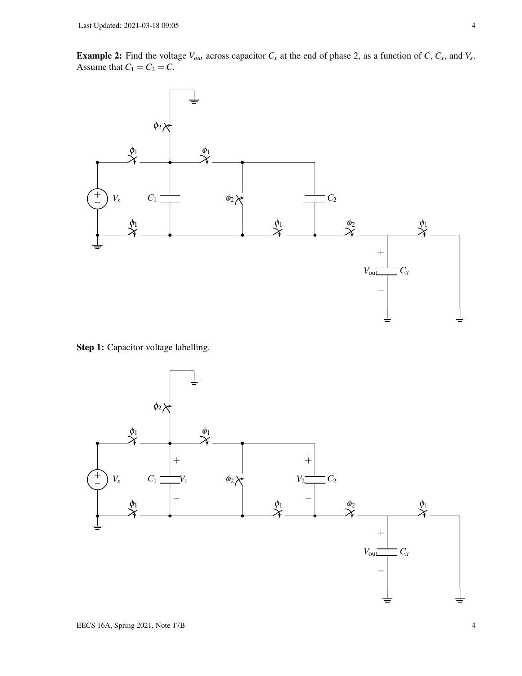**Example 2:** Find the voltage  $V_{out}$  across capacitor  $C_x$  at the end of phase 2, as a function of  $C$ ,  $C_x$ , and  $V_s$ . Assume that  $C_1 = C_2 = C$ .



Step 1: Capacitor voltage labelling.

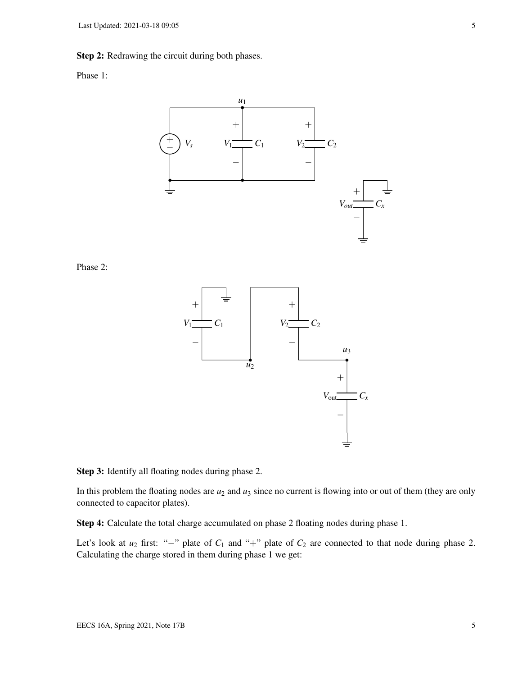#### Step 2: Redrawing the circuit during both phases.

### Phase 1:



Phase 2:



Step 3: Identify all floating nodes during phase 2.

In this problem the floating nodes are  $u_2$  and  $u_3$  since no current is flowing into or out of them (they are only connected to capacitor plates).

Step 4: Calculate the total charge accumulated on phase 2 floating nodes during phase 1.

Let's look at  $u_2$  first: "−" plate of  $C_1$  and "+" plate of  $C_2$  are connected to that node during phase 2. Calculating the charge stored in them during phase 1 we get: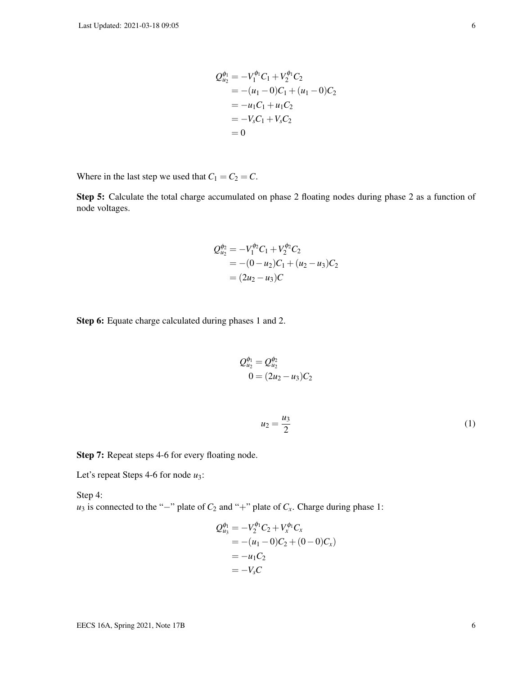$$
Q_{u_2}^{\phi_1} = -V_1^{\phi_1}C_1 + V_2^{\phi_1}C_2
$$
  
= -(u<sub>1</sub> - 0)C<sub>1</sub> + (u<sub>1</sub> - 0)C<sub>2</sub>  
= -u<sub>1</sub>C<sub>1</sub> + u<sub>1</sub>C<sub>2</sub>  
= -V<sub>s</sub>C<sub>1</sub> + V<sub>s</sub>C<sub>2</sub>  
= 0

Where in the last step we used that  $C_1 = C_2 = C$ .

Step 5: Calculate the total charge accumulated on phase 2 floating nodes during phase 2 as a function of node voltages.

$$
Q_{u_2}^{\phi_2} = -V_1^{\phi_2}C_1 + V_2^{\phi_2}C_2
$$
  
= -(0 - u<sub>2</sub>)C<sub>1</sub> + (u<sub>2</sub> - u<sub>3</sub>)C<sub>2</sub>  
= (2u<sub>2</sub> - u<sub>3</sub>)C

Step 6: Equate charge calculated during phases 1 and 2.

$$
Q_{u_2}^{\phi_1} = Q_{u_2}^{\phi_2}
$$
  
0 = (2u<sub>2</sub> - u<sub>3</sub>)C<sub>2</sub>

$$
u_2 = \frac{u_3}{2} \tag{1}
$$

Step 7: Repeat steps 4-6 for every floating node.

Let's repeat Steps 4-6 for node *u*3:

Step 4: *u*<sub>3</sub> is connected to the "−" plate of  $C_2$  and "+" plate of  $C_x$ . Charge during phase 1:

$$
Q_{u_3}^{\phi_1} = -V_2^{\phi_1} C_2 + V_x^{\phi_1} C_x
$$
  
= -(u\_1 - 0)C\_2 + (0 - 0)C\_x)  
= -u\_1 C\_2  
= -V\_s C